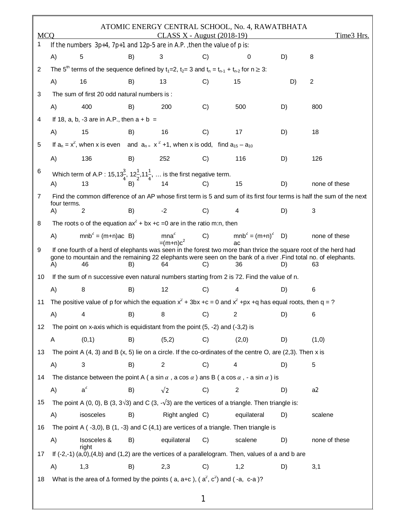| <b>MCQ</b> |                                                                                                                                                                                                                                                                                                    |                                                                                                                                                        |    | CLASS X - August (2018-19)      |               | ATOMIC ENERGY CENTRAL SCHOOL, No. 4, RAWATBHATA |    | Time3 Hrs.                                                                                                            |  |  |
|------------|----------------------------------------------------------------------------------------------------------------------------------------------------------------------------------------------------------------------------------------------------------------------------------------------------|--------------------------------------------------------------------------------------------------------------------------------------------------------|----|---------------------------------|---------------|-------------------------------------------------|----|-----------------------------------------------------------------------------------------------------------------------|--|--|
| 1          |                                                                                                                                                                                                                                                                                                    | If the numbers $3p+4$ , $7p+1$ and $12p-5$ are in A.P., then the value of p is:                                                                        |    |                                 |               |                                                 |    |                                                                                                                       |  |  |
|            | A)                                                                                                                                                                                                                                                                                                 | 5                                                                                                                                                      | B) | 3                               | C)            | 0                                               | D) | 8                                                                                                                     |  |  |
| 2          | The 5 <sup>th</sup> terms of the sequence defined by $t_1=2$ , $t_2=3$ and $t_n = t_{n-1} + t_{n-2}$ for $n \ge 3$ :                                                                                                                                                                               |                                                                                                                                                        |    |                                 |               |                                                 |    |                                                                                                                       |  |  |
|            | A)                                                                                                                                                                                                                                                                                                 | 16                                                                                                                                                     | B) | 13                              | C)            | 15                                              | D) | $\overline{c}$                                                                                                        |  |  |
| 3          |                                                                                                                                                                                                                                                                                                    | The sum of first 20 odd natural numbers is :                                                                                                           |    |                                 |               |                                                 |    |                                                                                                                       |  |  |
|            | A)                                                                                                                                                                                                                                                                                                 | 400                                                                                                                                                    | B) | 200                             | C)            | 500                                             | D) | 800                                                                                                                   |  |  |
| 4          |                                                                                                                                                                                                                                                                                                    | If 18, a, b, -3 are in A.P., then $a + b =$                                                                                                            |    |                                 |               |                                                 |    |                                                                                                                       |  |  |
|            | A)                                                                                                                                                                                                                                                                                                 | 15                                                                                                                                                     | B) | 16                              | C)            | 17                                              | D) | 18                                                                                                                    |  |  |
| 5          |                                                                                                                                                                                                                                                                                                    | If $a_n = x^2$ , when x is even and $a_{n}= x^2 +1$ , when x is odd, find $a_{15} - a_{10}$                                                            |    |                                 |               |                                                 |    |                                                                                                                       |  |  |
|            | A)                                                                                                                                                                                                                                                                                                 | 136                                                                                                                                                    | B) | 252                             | C)            | 116                                             | D) | 126                                                                                                                   |  |  |
| 6          |                                                                                                                                                                                                                                                                                                    | Which term of A.P : 15,13 <sup>3</sup> / <sub>4</sub> , 12 <sup>1</sup> / <sub>2</sub> , 11 <sup>1</sup> / <sub>4</sub> ,  is the first negative term. |    |                                 |               |                                                 |    |                                                                                                                       |  |  |
|            | A)                                                                                                                                                                                                                                                                                                 | 13                                                                                                                                                     | B) | 14                              | C)            | 15                                              | D) | none of these                                                                                                         |  |  |
| 7          |                                                                                                                                                                                                                                                                                                    |                                                                                                                                                        |    |                                 |               |                                                 |    | Find the common difference of an AP whose first term is 5 and sum of its first four terms is half the sum of the next |  |  |
|            | four terms.<br>A)                                                                                                                                                                                                                                                                                  | 2                                                                                                                                                      | B) | $-2$                            | C)            | 4                                               | D) | 3                                                                                                                     |  |  |
| 8          |                                                                                                                                                                                                                                                                                                    | The roots o of the equation $ax^2 + bx + c = 0$ are in the ratio m:n, then                                                                             |    |                                 |               |                                                 |    |                                                                                                                       |  |  |
|            | A)                                                                                                                                                                                                                                                                                                 | $mnb2 = (m+n)ac$ B)                                                                                                                                    |    | mna <sup>2</sup><br>$=(m+n)c^2$ | C)            | $mnb^{2} = (m+n)^{2}$ D)                        |    | none of these                                                                                                         |  |  |
| 9          | aс<br>If one fourth of a herd of elephants was seen in the forest two more than thrice the square root of the herd had<br>gone to mountain and the remaining 22 elephants were seen on the bank of a river .Find total no. of elephants.<br>$\mathsf{A}$<br>46<br>64<br>C)<br>36<br>63<br>B)<br>D) |                                                                                                                                                        |    |                                 |               |                                                 |    |                                                                                                                       |  |  |
| 10         |                                                                                                                                                                                                                                                                                                    | If the sum of n successive even natural numbers starting from 2 is 72. Find the value of n.                                                            |    |                                 |               |                                                 |    |                                                                                                                       |  |  |
|            | A)                                                                                                                                                                                                                                                                                                 | 8                                                                                                                                                      | B) | 12                              | C)            | 4                                               | D) | 6                                                                                                                     |  |  |
| 11         |                                                                                                                                                                                                                                                                                                    | The positive value of p for which the equation $x^2$ + 3bx +c = 0 and $x^2$ +px +q has equal roots, then q = ?                                         |    |                                 |               |                                                 |    |                                                                                                                       |  |  |
|            | A)                                                                                                                                                                                                                                                                                                 | $\sim$ 4                                                                                                                                               |    |                                 |               | B) 8 C) 2 D) 6                                  |    |                                                                                                                       |  |  |
| 12         |                                                                                                                                                                                                                                                                                                    | The point on x-axis which is equidistant from the point $(5, -2)$ and $(-3, 2)$ is                                                                     |    |                                 |               |                                                 |    |                                                                                                                       |  |  |
|            | Α                                                                                                                                                                                                                                                                                                  | (0,1)                                                                                                                                                  | B) | (5,2)                           | C)            | (2,0)                                           | D) | (1,0)                                                                                                                 |  |  |
| 13         |                                                                                                                                                                                                                                                                                                    | The point A $(4, 3)$ and B $(x, 5)$ lie on a circle. If the co-ordinates of the centre O, are $(2,3)$ . Then x is                                      |    |                                 |               |                                                 |    |                                                                                                                       |  |  |
|            | A)                                                                                                                                                                                                                                                                                                 | 3                                                                                                                                                      | B) | 2                               | C)            | 4                                               | D) | 5                                                                                                                     |  |  |
| 14         |                                                                                                                                                                                                                                                                                                    | The distance between the point A (a sin $\alpha$ , a cos $\alpha$ ) ans B (a cos $\alpha$ , - a sin $\alpha$ ) is                                      |    |                                 |               |                                                 |    |                                                                                                                       |  |  |
|            | A)                                                                                                                                                                                                                                                                                                 | $a^2$                                                                                                                                                  | B) | $\sqrt{2}$                      | C)            | $\overline{c}$                                  | D) | a2                                                                                                                    |  |  |
| 15         |                                                                                                                                                                                                                                                                                                    | The point A (0, 0), B (3, $3\sqrt{3}$ ) and C (3, $-\sqrt{3}$ ) are the vertices of a triangle. Then triangle is:                                      |    |                                 |               |                                                 |    |                                                                                                                       |  |  |
|            | A)                                                                                                                                                                                                                                                                                                 | isosceles                                                                                                                                              | B) | Right angled C)                 |               | equilateral                                     | D) | scalene                                                                                                               |  |  |
| 16         |                                                                                                                                                                                                                                                                                                    | The point A ( $-3,0$ ), B (1, $-3$ ) and C (4,1) are vertices of a triangle. Then triangle is                                                          |    |                                 |               |                                                 |    |                                                                                                                       |  |  |
|            | A)                                                                                                                                                                                                                                                                                                 | Isosceles &<br>right                                                                                                                                   | B) | equilateral                     | $\mathcal{C}$ | scalene                                         | D) | none of these                                                                                                         |  |  |
| 17         |                                                                                                                                                                                                                                                                                                    | If (-2,-1) (a,0),(4,b) and (1,2) are the vertices of a parallelogram. Then, values of a and b are                                                      |    |                                 |               |                                                 |    |                                                                                                                       |  |  |
|            | A)                                                                                                                                                                                                                                                                                                 | 1,3                                                                                                                                                    | B) | 2,3                             | C)            | 1,2                                             | D) | 3,1                                                                                                                   |  |  |
| 18         |                                                                                                                                                                                                                                                                                                    | What is the area of $\Delta$ formed by the points (a, a+c), ( $a^2$ , $c^2$ ) and (-a, c-a)?                                                           |    |                                 |               |                                                 |    |                                                                                                                       |  |  |

1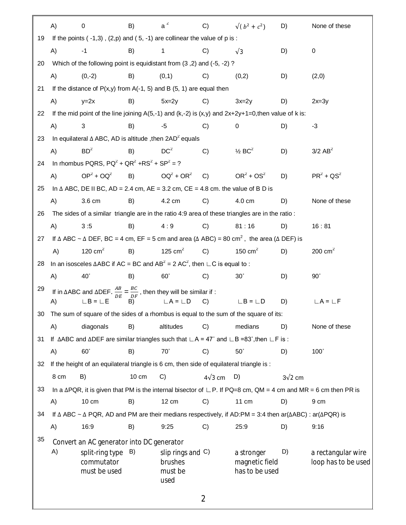|    | A)                                                                                                                                           | 0                                                                                                                                                 | B)    | $a^2$                                              | C)             | $\sqrt{(b^2+c^2)}$                             | D)             | None of these                                                                                                                 |  |  |  |
|----|----------------------------------------------------------------------------------------------------------------------------------------------|---------------------------------------------------------------------------------------------------------------------------------------------------|-------|----------------------------------------------------|----------------|------------------------------------------------|----------------|-------------------------------------------------------------------------------------------------------------------------------|--|--|--|
| 19 |                                                                                                                                              | If the points $(-1,3)$ , $(2,p)$ and $(5, -1)$ are collinear the value of p is:                                                                   |       |                                                    |                |                                                |                |                                                                                                                               |  |  |  |
|    | A)                                                                                                                                           | $-1$                                                                                                                                              | B)    | 1                                                  | C)             | $\sqrt{3}$                                     | D)             | 0                                                                                                                             |  |  |  |
| 20 |                                                                                                                                              | Which of the following point is equidistant from (3,2) and (-5, -2)?                                                                              |       |                                                    |                |                                                |                |                                                                                                                               |  |  |  |
|    | A)                                                                                                                                           | $(0,-2)$                                                                                                                                          | B)    | (0,1)                                              | C)             | (0,2)                                          | D)             | (2,0)                                                                                                                         |  |  |  |
| 21 |                                                                                                                                              | If the distance of $P(x,y)$ from A(-1, 5) and B (5, 1) are equal then                                                                             |       |                                                    |                |                                                |                |                                                                                                                               |  |  |  |
|    | A)                                                                                                                                           | $y=2x$                                                                                                                                            | B)    | $5x=2y$                                            | C)             | $3x=2y$                                        | D)             | $2x=3y$                                                                                                                       |  |  |  |
| 22 |                                                                                                                                              | If the mid point of the line joining $A(5,-1)$ and $(k,-2)$ is $(x,y)$ and $2x+2y+1=0$ , then value of k is:                                      |       |                                                    |                |                                                |                |                                                                                                                               |  |  |  |
|    | A)                                                                                                                                           | 3                                                                                                                                                 | B)    | -5                                                 | C)             | 0                                              | D)             | $-3$                                                                                                                          |  |  |  |
| 23 |                                                                                                                                              | In equilateral $\triangle$ ABC, AD is altitude, then $2AD^2$ equals                                                                               |       |                                                    |                |                                                |                |                                                                                                                               |  |  |  |
|    | A)                                                                                                                                           | $BD^2$                                                                                                                                            | B)    | DC <sup>2</sup>                                    | C)             | $\frac{1}{2}$ BC <sup>2</sup>                  | D)             | $3/2$ AB <sup>2</sup>                                                                                                         |  |  |  |
| 24 |                                                                                                                                              | In rhombus PQRS, $PQ^2 + QR^2 + RS^2 + SP^2 = ?$                                                                                                  |       |                                                    |                |                                                |                |                                                                                                                               |  |  |  |
|    | A)                                                                                                                                           | $OP^2 + OQ^2$                                                                                                                                     | B)    | $OQ^2 + OR^2$ C)                                   |                | $OR2 + OS2$                                    | D)             | $PR2 + QS2$                                                                                                                   |  |  |  |
| 25 |                                                                                                                                              | In $\triangle$ ABC, DE II BC, AD = 2.4 cm, AE = 3.2 cm, CE = 4.8 cm. the value of B D is                                                          |       |                                                    |                |                                                |                |                                                                                                                               |  |  |  |
|    | A)                                                                                                                                           | 3.6 cm                                                                                                                                            | B)    | 4.2 cm                                             | C)             | 4.0 cm                                         | D)             | None of these                                                                                                                 |  |  |  |
| 26 | The sides of a similar triangle are in the ratio 4:9 area of these triangles are in the ratio :                                              |                                                                                                                                                   |       |                                                    |                |                                                |                |                                                                                                                               |  |  |  |
|    | A)                                                                                                                                           | 3:5                                                                                                                                               | B)    | 4:9                                                | C)             | 81:16                                          | D)             | 16:81                                                                                                                         |  |  |  |
| 27 | If $\triangle$ ABC ~ $\triangle$ DEF, BC = 4 cm, EF = 5 cm and area ( $\triangle$ ABC) = 80 cm <sup>2</sup> , the area ( $\triangle$ DEF) is |                                                                                                                                                   |       |                                                    |                |                                                |                |                                                                                                                               |  |  |  |
|    | A)                                                                                                                                           | 120 $cm2$                                                                                                                                         | B)    | 125 cm $^2$                                        | C)             | 150 $cm2$                                      | D)             | 200 $cm2$                                                                                                                     |  |  |  |
| 28 |                                                                                                                                              | In an isosceles $\triangle ABC$ if AC = BC and AB <sup>2</sup> = 2 AC <sup>2</sup> , then $\sqcup$ C is equal to :                                |       |                                                    |                |                                                |                |                                                                                                                               |  |  |  |
|    | A)                                                                                                                                           | $40^\circ$                                                                                                                                        | B)    | $60^\circ$                                         | C)             | $30^\circ$                                     | D)             | $90^{\circ}$                                                                                                                  |  |  |  |
| 29 |                                                                                                                                              | If in $\triangle ABC$ and $\triangle DEF$ . $\frac{AB}{DE} = \frac{BC}{DF}$ , then they will be similar if:                                       |       |                                                    |                |                                                |                |                                                                                                                               |  |  |  |
|    | A)                                                                                                                                           | $LB = LE$ $B)$                                                                                                                                    |       | $LA = LD$                                          | C)             | $\Box B = \Box D$                              | D)             | $\mathsf{L}\mathsf{A}$ = $\mathsf{L}\mathsf{F}$                                                                               |  |  |  |
|    |                                                                                                                                              | 30 The sum of square of the sides of a rhombus is equal to the sum of the square of its:                                                          |       |                                                    |                |                                                |                |                                                                                                                               |  |  |  |
|    | A)                                                                                                                                           | diagonals                                                                                                                                         | B)    | altitudes                                          | C)             | medians                                        | D)             | None of these                                                                                                                 |  |  |  |
| 31 |                                                                                                                                              | If $\triangle ABC$ and $\triangle DEF$ are similar triangles such that $\angle A = 47^{\circ}$ and $\angle B = 83^{\circ}$ , then $\angle F$ is : |       |                                                    |                |                                                |                |                                                                                                                               |  |  |  |
|    | A)                                                                                                                                           | $60^\circ$                                                                                                                                        | B)    | $70^\circ$                                         | C)             | $50^\circ$                                     | D)             | $100^\circ$                                                                                                                   |  |  |  |
| 32 |                                                                                                                                              | If the height of an equilateral triangle is 6 cm, then side of equilateral triangle is :                                                          |       |                                                    |                |                                                |                |                                                                                                                               |  |  |  |
|    | 8 cm                                                                                                                                         | B)                                                                                                                                                | 10 cm | $\mathcal{C}$                                      | $4\sqrt{3}$ cm | D)                                             | $3\sqrt{2}$ cm |                                                                                                                               |  |  |  |
| 33 |                                                                                                                                              |                                                                                                                                                   |       |                                                    |                |                                                |                | In a $\Delta PQR$ , it is given that PM is the internal bisector of $\Box P$ . If PQ=8 cm, QM = 4 cm and MR = 6 cm then PR is |  |  |  |
|    | A)                                                                                                                                           | $10 \text{ cm}$                                                                                                                                   | B)    | 12 cm                                              | C)             | 11 cm                                          | D)             | 9 cm                                                                                                                          |  |  |  |
| 34 |                                                                                                                                              | If $\Delta$ ABC ~ $\Delta$ PQR, AD and PM are their medians respectively, if AD:PM = 3:4 then ar( $\Delta$ ABC) : ar( $\Delta$ PQR) is            |       |                                                    |                |                                                |                |                                                                                                                               |  |  |  |
|    | A)                                                                                                                                           | 16:9                                                                                                                                              | B)    | 9:25                                               | C)             | 25:9                                           | D)             | 9:16                                                                                                                          |  |  |  |
| 35 |                                                                                                                                              | Convert an AC generator into DC generator                                                                                                         |       |                                                    |                |                                                |                |                                                                                                                               |  |  |  |
|    | A)                                                                                                                                           | split-ring type<br>commutator<br>must be used                                                                                                     | B)    | slip rings and $C$ )<br>brushes<br>must be<br>used |                | a stronger<br>magnetic field<br>has to be used | D)             | a rectangular wire<br>loop has to be used                                                                                     |  |  |  |
|    |                                                                                                                                              |                                                                                                                                                   |       |                                                    | $\overline{2}$ |                                                |                |                                                                                                                               |  |  |  |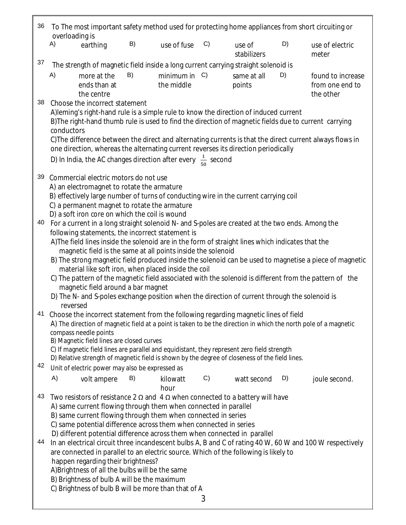| 36 | To The most important safety method used for protecting home appliances from short circuiting or<br>overloading is                                                                                                                                                                                                                                                                                                                                                                                                          |    |                                |    |                       |    |                                                   |  |  |  |  |
|----|-----------------------------------------------------------------------------------------------------------------------------------------------------------------------------------------------------------------------------------------------------------------------------------------------------------------------------------------------------------------------------------------------------------------------------------------------------------------------------------------------------------------------------|----|--------------------------------|----|-----------------------|----|---------------------------------------------------|--|--|--|--|
|    | A)<br>earthing                                                                                                                                                                                                                                                                                                                                                                                                                                                                                                              | B) | use of fuse                    | C) | use of<br>stabilizers | D) | use of electric<br>meter                          |  |  |  |  |
| 37 | The strength of magnetic field inside a long current carrying straight solenoid is                                                                                                                                                                                                                                                                                                                                                                                                                                          |    |                                |    |                       |    |                                                   |  |  |  |  |
|    | A)<br>more at the<br>ends than at<br>the centre                                                                                                                                                                                                                                                                                                                                                                                                                                                                             | B) | minimum in $C$ )<br>the middle |    | same at all<br>points | D) | found to increase<br>from one end to<br>the other |  |  |  |  |
| 38 | Choose the incorrect statement<br>A) leming's right-hand rule is a simple rule to know the direction of induced current<br>B) The right-hand thumb rule is used to find the direction of magnetic fields due to current carrying<br>conductors<br>C) The difference between the direct and alternating currents is that the direct current always flows in<br>one direction, whereas the alternating current reverses its direction periodically<br>D) In India, the AC changes direction after every $\frac{1}{50}$ second |    |                                |    |                       |    |                                                   |  |  |  |  |
| 39 |                                                                                                                                                                                                                                                                                                                                                                                                                                                                                                                             |    |                                |    |                       |    |                                                   |  |  |  |  |
| 40 | Commercial electric motors do not use<br>A) an electromagnet to rotate the armature<br>B) effectively large number of turns of conducting wire in the current carrying coil<br>C) a permanent magnet to rotate the armature<br>D) a soft iron core on which the coil is wound<br>For a current in a long straight solenoid N- and S-poles are created at the two ends. Among the                                                                                                                                            |    |                                |    |                       |    |                                                   |  |  |  |  |
|    | following statements, the incorrect statement is                                                                                                                                                                                                                                                                                                                                                                                                                                                                            |    |                                |    |                       |    |                                                   |  |  |  |  |
|    | A) The field lines inside the solenoid are in the form of straight lines which indicates that the                                                                                                                                                                                                                                                                                                                                                                                                                           |    |                                |    |                       |    |                                                   |  |  |  |  |
|    | magnetic field is the same at all points inside the solenoid                                                                                                                                                                                                                                                                                                                                                                                                                                                                |    |                                |    |                       |    |                                                   |  |  |  |  |
|    | B) The strong magnetic field produced inside the solenoid can be used to magnetise a piece of magnetic<br>material like soft iron, when placed inside the coil                                                                                                                                                                                                                                                                                                                                                              |    |                                |    |                       |    |                                                   |  |  |  |  |
|    | C) The pattern of the magnetic field associated with the solenoid is different from the pattern of the                                                                                                                                                                                                                                                                                                                                                                                                                      |    |                                |    |                       |    |                                                   |  |  |  |  |
|    | magnetic field around a bar magnet<br>D) The N- and S-poles exchange position when the direction of current through the solenoid is                                                                                                                                                                                                                                                                                                                                                                                         |    |                                |    |                       |    |                                                   |  |  |  |  |
|    | reversed                                                                                                                                                                                                                                                                                                                                                                                                                                                                                                                    |    |                                |    |                       |    |                                                   |  |  |  |  |
|    | 41 Choose the incorrect statement from the following regarding magnetic lines of field<br>A) The direction of magnetic field at a point is taken to be the direction in which the north pole of a magnetic<br>compass needle points<br>B) Magnetic field lines are closed curves<br>C) If magnetic field lines are parallel and equidistant, they represent zero field strength                                                                                                                                             |    |                                |    |                       |    |                                                   |  |  |  |  |
| 42 | D) Relative strength of magnetic field is shown by the degree of closeness of the field lines.                                                                                                                                                                                                                                                                                                                                                                                                                              |    |                                |    |                       |    |                                                   |  |  |  |  |
|    | Unit of electric power may also be expressed as<br>A)                                                                                                                                                                                                                                                                                                                                                                                                                                                                       | B) |                                | C) | watt second           | D) |                                                   |  |  |  |  |
|    | volt ampere                                                                                                                                                                                                                                                                                                                                                                                                                                                                                                                 |    | kilowatt<br>hour               |    |                       |    | joule second.                                     |  |  |  |  |
| 43 | Two resistors of resistance 2 $\Omega$ and 4 $\Omega$ when connected to a battery will have<br>A) same current flowing through them when connected in parallel                                                                                                                                                                                                                                                                                                                                                              |    |                                |    |                       |    |                                                   |  |  |  |  |
|    | B) same current flowing through them when connected in series<br>C) same potential difference across them when connected in series                                                                                                                                                                                                                                                                                                                                                                                          |    |                                |    |                       |    |                                                   |  |  |  |  |
|    | D) different potential difference across them when connected in parallel                                                                                                                                                                                                                                                                                                                                                                                                                                                    |    |                                |    |                       |    |                                                   |  |  |  |  |
| 44 | In an electrical circuit three incandescent bulbs A, B and C of rating 40 W, 60 W and 100 W respectively                                                                                                                                                                                                                                                                                                                                                                                                                    |    |                                |    |                       |    |                                                   |  |  |  |  |
|    | are connected in parallel to an electric source. Which of the following is likely to<br>happen regarding their brightness?                                                                                                                                                                                                                                                                                                                                                                                                  |    |                                |    |                       |    |                                                   |  |  |  |  |
|    | A)Brightness of all the bulbs will be the same                                                                                                                                                                                                                                                                                                                                                                                                                                                                              |    |                                |    |                       |    |                                                   |  |  |  |  |
|    | B) Brightness of bulb A will be the maximum                                                                                                                                                                                                                                                                                                                                                                                                                                                                                 |    |                                |    |                       |    |                                                   |  |  |  |  |
|    | C) Brightness of bulb B will be more than that of A                                                                                                                                                                                                                                                                                                                                                                                                                                                                         |    |                                | 3  |                       |    |                                                   |  |  |  |  |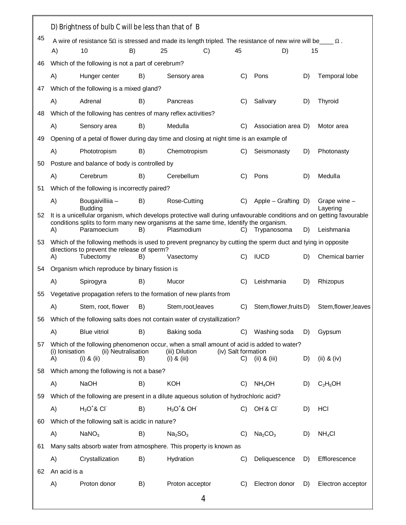|    | D) Brightness of bulb C will be less than that of B                                                                                                                                                            |                                                                                                               |    |                                   |                     |               |                                 |    |                          |  |
|----|----------------------------------------------------------------------------------------------------------------------------------------------------------------------------------------------------------------|---------------------------------------------------------------------------------------------------------------|----|-----------------------------------|---------------------|---------------|---------------------------------|----|--------------------------|--|
| 45 |                                                                                                                                                                                                                | A wire of resistance 50 is stressed and made its length tripled. The resistance of new wire will be $\Box$ 0. |    |                                   |                     |               |                                 |    |                          |  |
|    | A)                                                                                                                                                                                                             | 10<br>B)                                                                                                      |    | 25                                | C)                  | 45            | D)                              | 15 |                          |  |
| 46 |                                                                                                                                                                                                                | Which of the following is not a part of cerebrum?                                                             |    |                                   |                     |               |                                 |    |                          |  |
|    | A)                                                                                                                                                                                                             | Hunger center                                                                                                 | B) | Sensory area                      |                     | $\mathcal{C}$ | Pons                            | D) | Temporal lobe            |  |
| 47 |                                                                                                                                                                                                                | Which of the following is a mixed gland?                                                                      |    |                                   |                     |               |                                 |    |                          |  |
|    | A)                                                                                                                                                                                                             | Adrenal                                                                                                       | B) | Pancreas                          |                     | C)            | Salivary                        | D) | Thyroid                  |  |
| 48 |                                                                                                                                                                                                                | Which of the following has centres of many reflex activities?                                                 |    |                                   |                     |               |                                 |    |                          |  |
|    | A)                                                                                                                                                                                                             | Sensory area                                                                                                  | B) | Medulla                           |                     | C)            | Association area D)             |    | Motor area               |  |
| 49 |                                                                                                                                                                                                                | Opening of a petal of flower during day time and closing at night time is an example of                       |    |                                   |                     |               |                                 |    |                          |  |
|    | A)                                                                                                                                                                                                             | Phototropism                                                                                                  | B) | Chemotropism                      |                     | C)            | Seismonasty                     | D) | Photonasty               |  |
| 50 |                                                                                                                                                                                                                | Posture and balance of body is controlled by                                                                  |    |                                   |                     |               |                                 |    |                          |  |
|    | A)                                                                                                                                                                                                             | Cerebrum                                                                                                      | B) | Cerebellum                        |                     | C)            | Pons                            | D) | Medulla                  |  |
| 51 | Which of the following is incorrectly paired?                                                                                                                                                                  |                                                                                                               |    |                                   |                     |               |                                 |    |                          |  |
|    | A)                                                                                                                                                                                                             | Bougaivilliia -<br><b>Budding</b>                                                                             | B) | Rose-Cutting                      |                     | C)            | Apple – Grafting D)             |    | Grape wine -<br>Layering |  |
| 52 | It is a unicellular organism, which develops protective wall during unfavourable conditions and on getting favourable<br>conditions splits to form many new organisms at the same time, Identify the organism. |                                                                                                               |    |                                   |                     |               |                                 |    |                          |  |
|    | A)                                                                                                                                                                                                             | Paramoecium                                                                                                   | B) | Plasmodium                        |                     | C)            | Trypanosoma                     | D) | Leishmania               |  |
| 53 | Which of the following methods is used to prevent pregnancy by cutting the sperm duct and tying in opposite<br>directions to prevent the release of sperm?                                                     |                                                                                                               |    |                                   |                     |               |                                 |    |                          |  |
|    | A)                                                                                                                                                                                                             | Tubectomy                                                                                                     | B) | Vasectomy                         |                     | C)            | <b>IUCD</b>                     | D) | Chemical barrier         |  |
| 54 |                                                                                                                                                                                                                | Organism which reproduce by binary fission is                                                                 |    |                                   |                     |               |                                 |    |                          |  |
|    | A)                                                                                                                                                                                                             | Spirogyra                                                                                                     | B) | Mucor                             |                     | C)            | Leishmania                      | D) | Rhizopus                 |  |
| 55 |                                                                                                                                                                                                                | Vegetative propagation refers to the formation of new plants from                                             |    |                                   |                     |               |                                 |    |                          |  |
|    | A)                                                                                                                                                                                                             | Stem, root, flower                                                                                            | B) | Stem, root, leaves                |                     | C)            | Stem, flower, fruits D)         |    | Stem, flower, leaves     |  |
| 56 |                                                                                                                                                                                                                | Which of the following salts does not contain water of crystallization?                                       |    |                                   |                     |               |                                 |    |                          |  |
|    | A)                                                                                                                                                                                                             | <b>Blue vitriol</b>                                                                                           | B) | Baking soda                       |                     | C)            | Washing soda                    | D) | Gypsum                   |  |
| 57 |                                                                                                                                                                                                                | Which of the following phenomenon occur, when a small amount of acid is added to water?                       |    |                                   |                     |               |                                 |    |                          |  |
|    | (i) lonisation<br>A)                                                                                                                                                                                           | (ii) Neutralisation<br>$(i)$ & $(ii)$                                                                         | B) | (iii) Dilution<br>$(i)$ & $(iii)$ | (iv) Salt formation | C)            | $(ii)$ & $(iii)$                | D) | (ii) $&$ (iv)            |  |
| 58 |                                                                                                                                                                                                                | Which among the following is not a base?                                                                      |    |                                   |                     |               |                                 |    |                          |  |
|    | A)                                                                                                                                                                                                             | <b>NaOH</b>                                                                                                   | B) | <b>KOH</b>                        |                     | C)            | $NH_4OH$                        | D) | $C_2H_5OH$               |  |
| 59 |                                                                                                                                                                                                                | Which of the following are present in a dilute aqueous solution of hydrochloric acid?                         |    |                                   |                     |               |                                 |    |                          |  |
|    | A)                                                                                                                                                                                                             | $H_3O^*$ & CI                                                                                                 | B) | $H_3O^*$ & OH                     |                     |               | C) OH'& CI                      | D) | HCI                      |  |
| 60 |                                                                                                                                                                                                                | Which of the following salt is acidic in nature?                                                              |    |                                   |                     |               |                                 |    |                          |  |
|    | A)                                                                                                                                                                                                             | NaNO <sub>3</sub>                                                                                             | B) | Na <sub>2</sub> SO <sub>3</sub>   |                     | C)            | Na <sub>2</sub> CO <sub>3</sub> | D) | NH <sub>4</sub> Cl       |  |
| 61 |                                                                                                                                                                                                                | Many salts absorb water from atmosphere. This property is known as                                            |    |                                   |                     |               |                                 |    |                          |  |
|    | A)                                                                                                                                                                                                             | Crystallization                                                                                               | B) | Hydration                         |                     | C)            | Deliquescence                   | D) | Efflorescence            |  |
| 62 | An acid is a                                                                                                                                                                                                   |                                                                                                               |    |                                   |                     |               |                                 |    |                          |  |
|    | A)                                                                                                                                                                                                             | Proton donor                                                                                                  | B) | Proton acceptor                   |                     | C)            | Electron donor                  | D) | Electron acceptor        |  |
|    |                                                                                                                                                                                                                |                                                                                                               |    | 4                                 |                     |               |                                 |    |                          |  |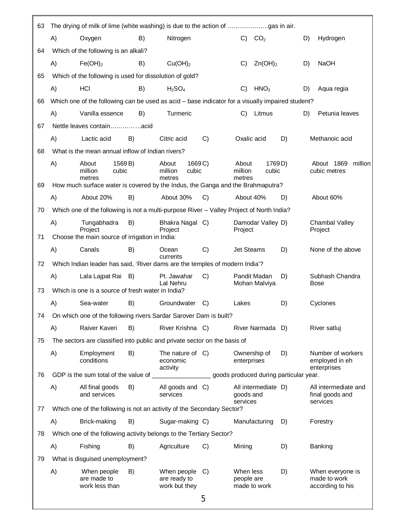| 63 |    |                                                                          |                  |                                                                                                  |       |                            |                                        |    |    |                                                      |
|----|----|--------------------------------------------------------------------------|------------------|--------------------------------------------------------------------------------------------------|-------|----------------------------|----------------------------------------|----|----|------------------------------------------------------|
|    | A) | Oxygen                                                                   | B)               | Nitrogen                                                                                         |       | C)                         | CO <sub>2</sub>                        |    | D) | Hydrogen                                             |
| 64 |    | Which of the following is an alkali?                                     |                  |                                                                                                  |       |                            |                                        |    |    |                                                      |
|    | A) | Fe(OH) <sub>2</sub>                                                      | B)               | Cu(OH) <sub>2</sub>                                                                              |       | C)                         | $Zn(OH)_2$                             |    | D) | <b>NaOH</b>                                          |
| 65 |    |                                                                          |                  | Which of the following is used for dissolution of gold?                                          |       |                            |                                        |    |    |                                                      |
|    | A) | HCI                                                                      | B)               | H <sub>2</sub> SO <sub>4</sub>                                                                   |       | C)                         | HNO <sub>3</sub>                       |    | D) | Aqua regia                                           |
| 66 |    |                                                                          |                  | Which one of the following can be used as acid - base indicator for a visually impaired student? |       |                            |                                        |    |    |                                                      |
|    | A) | Vanilla essence                                                          | B)               | Turmeric                                                                                         |       | C)                         | Litmus                                 |    | D) | Petunia leaves                                       |
| 67 |    |                                                                          |                  |                                                                                                  |       |                            |                                        |    |    |                                                      |
|    | A) | Lactic acid                                                              | B)               | Citric acid                                                                                      | C)    | Oxalic acid                |                                        | D) |    | Methanoic acid                                       |
| 68 |    | What is the mean annual inflow of Indian rivers?                         |                  |                                                                                                  |       |                            |                                        |    |    |                                                      |
|    | A) | About<br>million<br>metres                                               | 1569 B)<br>cubic | About<br>million<br>cubic<br>metres                                                              | 1669C | About<br>million<br>metres | 1769D)<br>cubic                        |    |    | About 1869<br>million<br>cubic metres                |
| 69 |    |                                                                          |                  | How much surface water is covered by the Indus, the Ganga and the Brahmaputra?                   |       |                            |                                        |    |    |                                                      |
|    | A) | About 20%                                                                | B)               | About 30%                                                                                        | C)    | About 40%                  |                                        | D) |    | About 60%                                            |
| 70 |    |                                                                          |                  | Which one of the following is not a multi-purpose River - Valley Project of North India?         |       |                            |                                        |    |    |                                                      |
| 71 | A) | Tungabhadra<br>Project<br>Choose the main source of irrigation in India: | B)               | Bhakra Nagal C)<br>Project                                                                       |       | Project                    | Damodar Valley D)                      |    |    | Chambal Valley<br>Project                            |
|    | A) | Canals                                                                   | B)               | Ocean                                                                                            | C)    | <b>Jet Steams</b>          |                                        | D) |    | None of the above                                    |
| 72 |    |                                                                          |                  | currents<br>Which Indian leader has said, 'River dams are the temples of modern India'?          |       |                            |                                        |    |    |                                                      |
|    | A) | Lala Lajpat Rai B)                                                       |                  | Pt. Jawahar<br>Lal Nehru                                                                         | C)    |                            | Pandit Madan<br>Mohan Malviya          | D) |    | Subhash Chandra<br>Bose                              |
| 73 |    | Which is one is a source of fresh water in India?                        |                  |                                                                                                  |       |                            |                                        |    |    |                                                      |
|    | A) | Sea-water                                                                | B)               | Groundwater                                                                                      | C)    | Lakes                      |                                        | D) |    | Cyclones                                             |
| 74 |    |                                                                          |                  | On which one of the following rivers Sardar Sarover Dam is built?                                |       |                            |                                        |    |    |                                                      |
|    | A) | Raiver Kaveri                                                            | B)               | River Krishna C)                                                                                 |       |                            | River Narmada D)                       |    |    | River satluj                                         |
| 75 |    |                                                                          |                  | The sectors are classified into public and private sector on the basis of                        |       |                            |                                        |    |    |                                                      |
|    | A) | Employment<br>conditions                                                 | B)               | The nature of $C$ )<br>economic<br>activity                                                      |       | enterprises                | Ownership of                           | D) |    | Number of workers<br>employed in eh<br>enterprises   |
| 76 |    |                                                                          |                  |                                                                                                  |       |                            | goods produced during particular year. |    |    |                                                      |
|    | A) | All final goods<br>and services                                          | B)               | All goods and C)<br>services                                                                     |       | goods and<br>services      | All intermediate D)                    |    |    | All intermediate and<br>final goods and<br>services  |
| 77 |    |                                                                          |                  | Which one of the following is not an activity of the Secondary Sector?                           |       |                            |                                        |    |    |                                                      |
|    | A) | Brick-making                                                             | B)               | Sugar-making C)                                                                                  |       |                            | Manufacturing                          | D) |    | Forestry                                             |
| 78 |    |                                                                          |                  | Which one of the following activity belongs to the Tertiary Sector?                              |       |                            |                                        |    |    |                                                      |
|    | A) | Fishing                                                                  | B)               | Agriculture                                                                                      | C)    | Mining                     |                                        | D) |    | Banking                                              |
| 79 |    | What is disguised unemployment?                                          |                  |                                                                                                  |       |                            |                                        |    |    |                                                      |
|    | A) | When people<br>are made to<br>work less than                             | B)               | When people<br>are ready to<br>work but they                                                     | C)    | When less<br>people are    | made to work                           | D) |    | When everyone is<br>made to work<br>according to his |
|    |    |                                                                          |                  |                                                                                                  | Е     |                            |                                        |    |    |                                                      |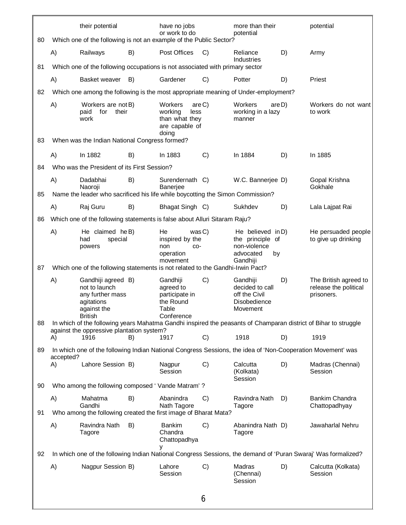|    |                                                                                      | their potential                        |   | have no jobs<br>or work to do                                                    |        | more than their<br>potential                                                         |    | potential                                                                                                       |  |  |
|----|--------------------------------------------------------------------------------------|----------------------------------------|---|----------------------------------------------------------------------------------|--------|--------------------------------------------------------------------------------------|----|-----------------------------------------------------------------------------------------------------------------|--|--|
| 80 | Which one of the following is not an example of the Public Sector?                   |                                        |   |                                                                                  |        |                                                                                      |    |                                                                                                                 |  |  |
|    | A)<br>Railways                                                                       | B)                                     |   | Post Offices                                                                     | C)     | Reliance<br>Industries                                                               | D) | Army                                                                                                            |  |  |
| 81 | Which one of the following occupations is not associated with primary sector         |                                        |   |                                                                                  |        |                                                                                      |    |                                                                                                                 |  |  |
|    | A)                                                                                   | Basket weaver<br>B)                    |   | Gardener                                                                         | C)     | Potter                                                                               | D) | Priest                                                                                                          |  |  |
| 82 | Which one among the following is the most appropriate meaning of Under-employment?   |                                        |   |                                                                                  |        |                                                                                      |    |                                                                                                                 |  |  |
| 83 | A)<br>paid<br>work<br>When was the Indian National Congress formed?                  | Workers are not B)<br>their<br>for     |   | Workers<br>are C<br>working<br>less<br>than what they<br>are capable of<br>doing |        | Workers<br>are D)<br>working in a lazy<br>manner                                     |    | Workers do not want<br>to work                                                                                  |  |  |
|    |                                                                                      |                                        |   |                                                                                  |        |                                                                                      |    |                                                                                                                 |  |  |
|    | A)<br>In 1882                                                                        | B)                                     |   | In 1883                                                                          | C)     | In 1884                                                                              | D) | In 1885                                                                                                         |  |  |
| 84 | Who was the President of its First Session?                                          |                                        |   |                                                                                  |        |                                                                                      |    |                                                                                                                 |  |  |
|    | A)<br>Dadabhai<br>Naoroji                                                            | B)                                     |   | Surendernath C)<br>Banerjee                                                      |        | W.C. Bannerjee D)                                                                    |    | Gopal Krishna<br>Gokhale                                                                                        |  |  |
|    | Name the leader who sacrificed his life while boycotting the Simon Commission?<br>85 |                                        |   |                                                                                  |        |                                                                                      |    |                                                                                                                 |  |  |
|    | Raj Guru<br>A)                                                                       | B)                                     |   | Bhagat Singh C)                                                                  |        | Sukhdev                                                                              | D) | Lala Lajpat Rai                                                                                                 |  |  |
| 86 | Which one of the following statements is false about Alluri Sitaram Raju?            |                                        |   |                                                                                  |        |                                                                                      |    |                                                                                                                 |  |  |
|    | A)<br>had<br>powers                                                                  | He claimed he B)<br>special            |   | He<br>inspired by the<br>non<br>CO-<br>operation<br>movement                     | was C) | He believed in D)<br>the principle of<br>non-violence<br>advocated<br>by<br>Gandhiji |    | He persuaded people<br>to give up drinking                                                                      |  |  |
| 87 | Which one of the following statements is not related to the Gandhi-Irwin Pact?       |                                        |   |                                                                                  |        |                                                                                      |    |                                                                                                                 |  |  |
|    | A)<br>not to launch<br>agitations<br>against the<br><b>British</b>                   | Gandhiji agreed B)<br>any further mass |   | Gandhiji<br>agreed to<br>participate in<br>the Round<br>Table<br>Conference      | C)     | Gandhiji<br>decided to call<br>off the Civil<br>Disobedience<br>Movement             | D) | The British agreed to<br>release the political<br>prisoners.                                                    |  |  |
| 88 | against the oppressive plantation system?                                            |                                        |   |                                                                                  |        |                                                                                      |    | In which of the following years Mahatma Gandhi inspired the peasants of Champaran district of Bihar to struggle |  |  |
|    | 1916<br>A)                                                                           | B)                                     |   | 1917                                                                             | C)     | 1918                                                                                 | D) | 1919                                                                                                            |  |  |
| 89 | accepted?                                                                            |                                        |   |                                                                                  |        |                                                                                      |    | In which one of the following Indian National Congress Sessions, the idea of 'Non-Cooperation Movement' was     |  |  |
|    | A)                                                                                   | Lahore Session B)                      |   | Nagpur<br>Session                                                                | C)     | Calcutta<br>(Kolkata)<br>Session                                                     | D) | Madras (Chennai)<br>Session                                                                                     |  |  |
| 90 | Who among the following composed 'Vande Matram'?                                     |                                        |   |                                                                                  |        |                                                                                      |    |                                                                                                                 |  |  |
|    | A)<br>Mahatma<br>Gandhi                                                              | B)                                     |   | Abanindra<br>Nath Tagore                                                         | C)     | Ravindra Nath<br>Tagore                                                              | D) | Bankim Chandra<br>Chattopadhyay                                                                                 |  |  |
| 91 | Who among the following created the first image of Bharat Mata?                      |                                        |   |                                                                                  |        |                                                                                      |    |                                                                                                                 |  |  |
|    | A)<br>Tagore                                                                         | Ravindra Nath<br>B)                    | у | <b>Bankim</b><br>Chandra<br>Chattopadhya                                         | C)     | Abanindra Nath D)<br>Tagore                                                          |    | Jawaharlal Nehru                                                                                                |  |  |
| 92 |                                                                                      |                                        |   |                                                                                  |        |                                                                                      |    | In which one of the following Indian National Congress Sessions, the demand of 'Puran Swaraj' Was formalized?   |  |  |
|    | A)                                                                                   | Nagpur Session B)                      |   | Lahore<br>Session                                                                | C)     | Madras<br>(Chennai)<br>Session                                                       | D) | Calcutta (Kolkata)<br>Session                                                                                   |  |  |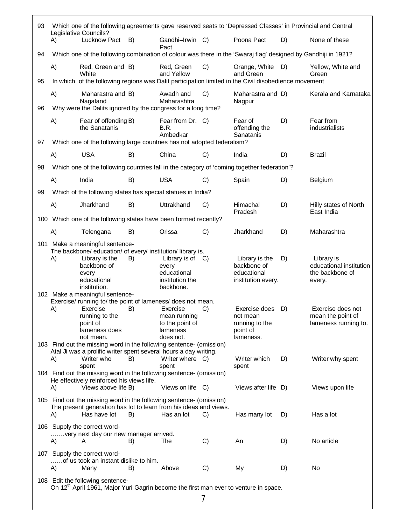| 93 |                                 | Which one of the following agreements gave reserved seats to 'Depressed Classes' in Provincial and Central                              |    |                                                                      |    |                                                                      |    |                                                                |  |  |
|----|---------------------------------|-----------------------------------------------------------------------------------------------------------------------------------------|----|----------------------------------------------------------------------|----|----------------------------------------------------------------------|----|----------------------------------------------------------------|--|--|
|    | A)                              | Legislative Councils?<br>Lucknow Pact                                                                                                   | B) | Gandhi-Irwin C)<br>Pact                                              |    | Poona Pact                                                           | D) | None of these                                                  |  |  |
| 94 |                                 | Which one of the following combination of colour was there in the 'Swaraj flag' designed by Gandhiji in 1921?                           |    |                                                                      |    |                                                                      |    |                                                                |  |  |
|    | A)                              | Red, Green and B)<br>White                                                                                                              |    | Red, Green<br>and Yellow                                             | C) | Orange, White<br>and Green                                           | D) | Yellow, White and<br>Green                                     |  |  |
| 95 |                                 | In which of the following regions was Dalit participation limited in the Civil disobedience movement                                    |    |                                                                      |    |                                                                      |    |                                                                |  |  |
| 96 | A)                              | Maharastra and B)<br>Nagaland<br>Why were the Dalits ignored by the congress for a long time?                                           |    | Awadh and<br>Maharashtra                                             | C) | Maharastra and D)<br>Nagpur                                          |    | Kerala and Karnataka                                           |  |  |
| 97 | A)                              | Fear of offending B)<br>the Sanatanis<br>Which one of the following large countries has not adopted federalism?                         |    | Fear from Dr. C)<br>B.R.<br>Ambedkar                                 |    | Fear of<br>offending the<br>Sanatanis                                | D) | Fear from<br>industrialists                                    |  |  |
|    |                                 | <b>USA</b>                                                                                                                              |    | China                                                                |    |                                                                      |    | <b>Brazil</b>                                                  |  |  |
|    | A)                              |                                                                                                                                         | B) |                                                                      | C) | India                                                                | D) |                                                                |  |  |
| 98 |                                 | Which one of the following countries fall in the category of 'coming together federation'?                                              |    |                                                                      |    |                                                                      |    |                                                                |  |  |
|    | A)                              | India                                                                                                                                   | B) | <b>USA</b>                                                           | C) | Spain                                                                | D) | Belgium                                                        |  |  |
| 99 |                                 | Which of the following states has special statues in India?                                                                             |    |                                                                      |    |                                                                      |    |                                                                |  |  |
|    | A)                              | Jharkhand                                                                                                                               | B) | Uttrakhand                                                           | C) | Himachal<br>Pradesh                                                  | D) | Hilly states of North<br>East India                            |  |  |
|    |                                 | 100 Which one of the following states have been formed recently?                                                                        |    |                                                                      |    |                                                                      |    |                                                                |  |  |
|    | A)                              | Telengana                                                                                                                               | B) | Orissa                                                               | C) | Jharkhand                                                            | D) | Maharashtra                                                    |  |  |
|    | 101 Make a meaningful sentence- |                                                                                                                                         |    |                                                                      |    |                                                                      |    |                                                                |  |  |
|    | A)                              | The backbone/ education/ of every/ institution/ library is.<br>Library is the                                                           | B) | Library is of                                                        | C) | Library is the                                                       | D) | Library is                                                     |  |  |
|    |                                 | backbone of<br>every<br>educational<br>institution.                                                                                     |    | every<br>educational<br>institution the<br>backbone.                 |    | backbone of<br>educational<br>institution every.                     |    | educational institution<br>the backbone of<br>every.           |  |  |
|    |                                 | 102 Make a meaningful sentence-<br>Exercise/ running to/ the point of lameness/ does not mean.                                          |    |                                                                      |    |                                                                      |    |                                                                |  |  |
|    | A)                              | Exercise<br>running to the<br>point of<br>lameness does<br>not mean.                                                                    | B) | Exercise<br>mean running<br>to the point of<br>lameness<br>does not. | C) | Exercise does<br>not mean<br>running to the<br>point of<br>lameness. | D) | Exercise does not<br>mean the point of<br>lameness running to. |  |  |
|    |                                 | 103 Find out the missing word in the following sentence- (omission)                                                                     |    |                                                                      |    |                                                                      |    |                                                                |  |  |
|    | A)                              | Atal Ji was a prolific writer spent several hours a day writing.<br>Writer who<br>spent                                                 | B) | Writer where C)<br>spent                                             |    | Writer which<br>spent                                                | D) | Writer why spent                                               |  |  |
|    | A)                              | 104 Find out the missing word in the following sentence- (omission)<br>He effectively reinforced his views life.<br>Views above life B) |    | Views on life C)                                                     |    | Views after life D)                                                  |    | Views upon life                                                |  |  |
|    |                                 | 105 Find out the missing word in the following sentence- (omission)                                                                     |    |                                                                      |    |                                                                      |    |                                                                |  |  |
|    | A)                              | The present generation has lot to learn from his ideas and views.<br>Has have lot                                                       | B) | Has an lot                                                           | C) | Has many lot                                                         | D) | Has a lot                                                      |  |  |
|    |                                 | 106 Supply the correct word-<br>very next day our new manager arrived.                                                                  |    |                                                                      |    |                                                                      |    |                                                                |  |  |
|    | A)                              | A                                                                                                                                       | B) | The                                                                  | C) | An                                                                   | D) | No article                                                     |  |  |
|    | A)                              | 107 Supply the correct word-<br>of us took an instant dislike to him.<br>Many                                                           | B) | Above                                                                | C) | My                                                                   | D) | No                                                             |  |  |
|    |                                 | 108 Edit the following sentence-                                                                                                        |    |                                                                      |    |                                                                      |    |                                                                |  |  |
|    |                                 | On 12 <sup>th</sup> April 1961, Major Yuri Gagrin become the first man ever to venture in space.                                        |    |                                                                      | 7  |                                                                      |    |                                                                |  |  |
|    |                                 |                                                                                                                                         |    |                                                                      |    |                                                                      |    |                                                                |  |  |

 $\mathbb{F}$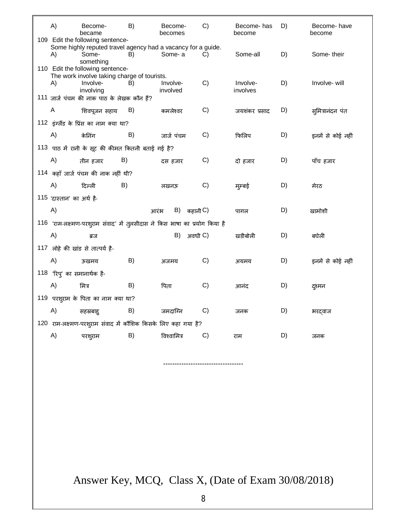| A)                                                | Become-<br>became                                                               | B) | Become-<br>becomes                                                         | C) | Become- has<br>become | D) | Become- have<br>become |  |  |  |
|---------------------------------------------------|---------------------------------------------------------------------------------|----|----------------------------------------------------------------------------|----|-----------------------|----|------------------------|--|--|--|
|                                                   | 109 Edit the following sentence-                                                |    |                                                                            |    |                       |    |                        |  |  |  |
| A)                                                | Some-                                                                           | B) | Some highly reputed travel agency had a vacancy for a guide.<br>Some-a     | C) | Some-all              | D) | Some-their             |  |  |  |
|                                                   | something                                                                       |    |                                                                            |    |                       |    |                        |  |  |  |
|                                                   | 110 Edit the following sentence-<br>The work involve taking charge of tourists. |    |                                                                            |    |                       |    |                        |  |  |  |
| A)                                                | Involve-                                                                        | B) | Involve-                                                                   | C) | Involve-              | D) | Involve-will           |  |  |  |
|                                                   | involving                                                                       |    | involved                                                                   |    | involves              |    |                        |  |  |  |
|                                                   | 111 जार्ज पंचम की नाक पाठ के लेखक कौन हैं?                                      |    |                                                                            |    |                       |    |                        |  |  |  |
| A                                                 | शिवपूजन सहाय                                                                    | B) | कमलेश्वर                                                                   | C) | जयशंकर प्रसाद         | D) | सुमित्रानंदन पंत       |  |  |  |
|                                                   | 112 इंग्लैंड के प्रिंस का नाम क्या था?                                          |    |                                                                            |    |                       |    |                        |  |  |  |
| A)                                                | केनिंग                                                                          | B) | जार्ज पंचम                                                                 | C) | फिलिप                 | D) | इनमें से कोई नहीं      |  |  |  |
| 113 पाठ में रानी के सूट की कीमत कितनी बताई गई है? |                                                                                 |    |                                                                            |    |                       |    |                        |  |  |  |
| A)                                                | तीन हजार                                                                        | B) | दस हजार                                                                    | C) | दो हजार               | D) | पाँच हजार              |  |  |  |
|                                                   |                                                                                 |    |                                                                            |    |                       |    |                        |  |  |  |
|                                                   | 114 कहाँ जार्ज पंचम की नाक नहीं थी?                                             |    |                                                                            |    |                       |    |                        |  |  |  |
| A)                                                | दिल्ली                                                                          | B) | लखनऊ                                                                       | C) | मुम्बई                | D) | मेरठ                   |  |  |  |
| 115 'दास्तान' का अर्थ है-                         |                                                                                 |    |                                                                            |    |                       |    |                        |  |  |  |
| A)                                                |                                                                                 |    | $B)$ कहानी $C$ )<br>आरंभ                                                   |    | पागल                  | D) | खामोशी                 |  |  |  |
|                                                   |                                                                                 |    | 116 'राम-लक्ष्मण-परशुराम संवाद' में तुलसीदास ने किस भाषा का प्रयोग किया है |    |                       |    |                        |  |  |  |
| A)                                                | ब्रज                                                                            |    | B)<br>अवधी C)                                                              |    | खडीबोली               | D) | बघेली                  |  |  |  |
|                                                   | 117 लोहे की खांड से तात्पर्य है-                                                |    |                                                                            |    |                       |    |                        |  |  |  |
|                                                   |                                                                                 |    |                                                                            |    |                       |    |                        |  |  |  |
| A)                                                | ऊखमय                                                                            | B) | अजमय                                                                       | C) | अयमय                  | D) | इनमें से कोई नहीं      |  |  |  |
| 118 'रिप्' का समानार्थक है-                       |                                                                                 |    |                                                                            |    |                       |    |                        |  |  |  |
| A)                                                | मित्र                                                                           | B) | पिता                                                                       | C) | आनंद                  | D) | दश्मन                  |  |  |  |
|                                                   | 119 परशुराम के पिता का नाम क्या था?                                             |    |                                                                            |    |                       |    |                        |  |  |  |
| A)                                                | सहस्रबाह्                                                                       | B) | जमदाग्नि                                                                   | C) | जनक                   | D) | भरद्वाज                |  |  |  |
|                                                   |                                                                                 |    | 120 राम-लक्ष्मण-परशुराम संवाद में कौशिक किसके लिए कहा गया है?              |    |                       |    |                        |  |  |  |
|                                                   |                                                                                 |    |                                                                            |    |                       |    |                        |  |  |  |
| A)                                                | परशुराम                                                                         | B) | विश्वामित्र                                                                | C) | राम                   | D) | जनक                    |  |  |  |

Answer Key, MCQ, Class X, (Date of Exam 30/08/2018)

-----------------------------------